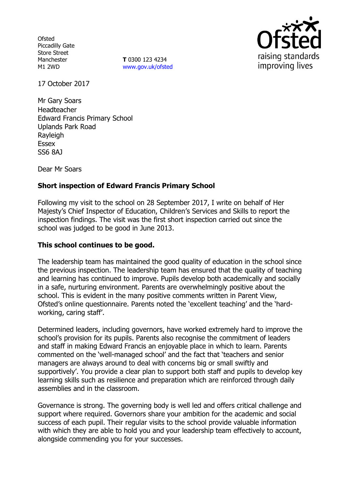**Ofsted** Piccadilly Gate Store Street Manchester M1 2WD

**T** 0300 123 4234 www.gov.uk/ofsted



17 October 2017

Mr Gary Soars **Headteacher** Edward Francis Primary School Uplands Park Road Rayleigh Essex SS6 8AJ

Dear Mr Soars

# **Short inspection of Edward Francis Primary School**

Following my visit to the school on 28 September 2017, I write on behalf of Her Majesty's Chief Inspector of Education, Children's Services and Skills to report the inspection findings. The visit was the first short inspection carried out since the school was judged to be good in June 2013.

### **This school continues to be good.**

The leadership team has maintained the good quality of education in the school since the previous inspection. The leadership team has ensured that the quality of teaching and learning has continued to improve. Pupils develop both academically and socially in a safe, nurturing environment. Parents are overwhelmingly positive about the school. This is evident in the many positive comments written in Parent View, Ofsted's online questionnaire. Parents noted the 'excellent teaching' and the 'hardworking, caring staff'.

Determined leaders, including governors, have worked extremely hard to improve the school's provision for its pupils. Parents also recognise the commitment of leaders and staff in making Edward Francis an enjoyable place in which to learn. Parents commented on the 'well-managed school' and the fact that 'teachers and senior managers are always around to deal with concerns big or small swiftly and supportively'. You provide a clear plan to support both staff and pupils to develop key learning skills such as resilience and preparation which are reinforced through daily assemblies and in the classroom.

Governance is strong. The governing body is well led and offers critical challenge and support where required. Governors share your ambition for the academic and social success of each pupil. Their regular visits to the school provide valuable information with which they are able to hold you and your leadership team effectively to account, alongside commending you for your successes.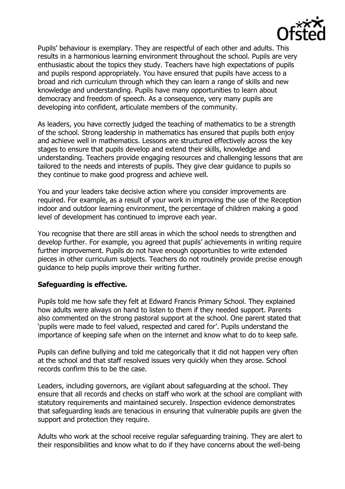

Pupils' behaviour is exemplary. They are respectful of each other and adults. This results in a harmonious learning environment throughout the school. Pupils are very enthusiastic about the topics they study. Teachers have high expectations of pupils and pupils respond appropriately. You have ensured that pupils have access to a broad and rich curriculum through which they can learn a range of skills and new knowledge and understanding. Pupils have many opportunities to learn about democracy and freedom of speech. As a consequence, very many pupils are developing into confident, articulate members of the community.

As leaders, you have correctly judged the teaching of mathematics to be a strength of the school. Strong leadership in mathematics has ensured that pupils both enjoy and achieve well in mathematics. Lessons are structured effectively across the key stages to ensure that pupils develop and extend their skills, knowledge and understanding. Teachers provide engaging resources and challenging lessons that are tailored to the needs and interests of pupils. They give clear guidance to pupils so they continue to make good progress and achieve well.

You and your leaders take decisive action where you consider improvements are required. For example, as a result of your work in improving the use of the Reception indoor and outdoor learning environment, the percentage of children making a good level of development has continued to improve each year.

You recognise that there are still areas in which the school needs to strengthen and develop further. For example, you agreed that pupils' achievements in writing require further improvement. Pupils do not have enough opportunities to write extended pieces in other curriculum subjects. Teachers do not routinely provide precise enough guidance to help pupils improve their writing further.

# **Safeguarding is effective.**

Pupils told me how safe they felt at Edward Francis Primary School. They explained how adults were always on hand to listen to them if they needed support. Parents also commented on the strong pastoral support at the school. One parent stated that 'pupils were made to feel valued, respected and cared for'. Pupils understand the importance of keeping safe when on the internet and know what to do to keep safe.

Pupils can define bullying and told me categorically that it did not happen very often at the school and that staff resolved issues very quickly when they arose. School records confirm this to be the case.

Leaders, including governors, are vigilant about safeguarding at the school. They ensure that all records and checks on staff who work at the school are compliant with statutory requirements and maintained securely. Inspection evidence demonstrates that safeguarding leads are tenacious in ensuring that vulnerable pupils are given the support and protection they require.

Adults who work at the school receive regular safeguarding training. They are alert to their responsibilities and know what to do if they have concerns about the well-being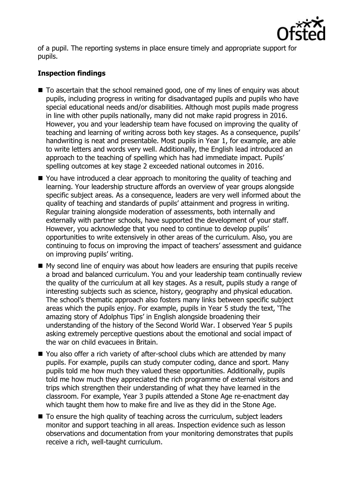

of a pupil. The reporting systems in place ensure timely and appropriate support for pupils.

# **Inspection findings**

- To ascertain that the school remained good, one of my lines of enquiry was about pupils, including progress in writing for disadvantaged pupils and pupils who have special educational needs and/or disabilities. Although most pupils made progress in line with other pupils nationally, many did not make rapid progress in 2016. However, you and your leadership team have focused on improving the quality of teaching and learning of writing across both key stages. As a consequence, pupils' handwriting is neat and presentable. Most pupils in Year 1, for example, are able to write letters and words very well. Additionally, the English lead introduced an approach to the teaching of spelling which has had immediate impact. Pupils' spelling outcomes at key stage 2 exceeded national outcomes in 2016.
- You have introduced a clear approach to monitoring the quality of teaching and learning. Your leadership structure affords an overview of year groups alongside specific subject areas. As a consequence, leaders are very well informed about the quality of teaching and standards of pupils' attainment and progress in writing. Regular training alongside moderation of assessments, both internally and externally with partner schools, have supported the development of your staff. However, you acknowledge that you need to continue to develop pupils' opportunities to write extensively in other areas of the curriculum. Also, you are continuing to focus on improving the impact of teachers' assessment and guidance on improving pupils' writing.
- My second line of enquiry was about how leaders are ensuring that pupils receive a broad and balanced curriculum. You and your leadership team continually review the quality of the curriculum at all key stages. As a result, pupils study a range of interesting subjects such as science, history, geography and physical education. The school's thematic approach also fosters many links between specific subject areas which the pupils enjoy. For example, pupils in Year 5 study the text, 'The amazing story of Adolphus Tips' in English alongside broadening their understanding of the history of the Second World War. I observed Year 5 pupils asking extremely perceptive questions about the emotional and social impact of the war on child evacuees in Britain.
- You also offer a rich variety of after-school clubs which are attended by many pupils. For example, pupils can study computer coding, dance and sport. Many pupils told me how much they valued these opportunities. Additionally, pupils told me how much they appreciated the rich programme of external visitors and trips which strengthen their understanding of what they have learned in the classroom. For example, Year 3 pupils attended a Stone Age re-enactment day which taught them how to make fire and live as they did in the Stone Age.
- To ensure the high quality of teaching across the curriculum, subject leaders monitor and support teaching in all areas. Inspection evidence such as lesson observations and documentation from your monitoring demonstrates that pupils receive a rich, well-taught curriculum.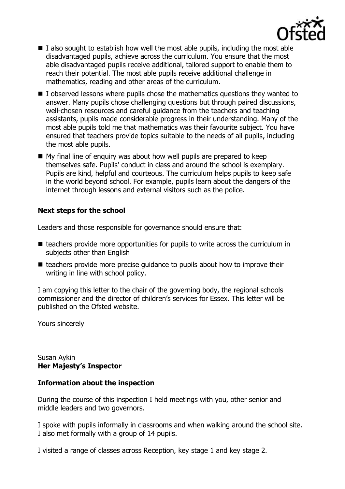

- $\blacksquare$  I also sought to establish how well the most able pupils, including the most able disadvantaged pupils, achieve across the curriculum. You ensure that the most able disadvantaged pupils receive additional, tailored support to enable them to reach their potential. The most able pupils receive additional challenge in mathematics, reading and other areas of the curriculum.
- $\blacksquare$  I observed lessons where pupils chose the mathematics questions they wanted to answer. Many pupils chose challenging questions but through paired discussions, well-chosen resources and careful guidance from the teachers and teaching assistants, pupils made considerable progress in their understanding. Many of the most able pupils told me that mathematics was their favourite subject. You have ensured that teachers provide topics suitable to the needs of all pupils, including the most able pupils.
- My final line of enquiry was about how well pupils are prepared to keep themselves safe. Pupils' conduct in class and around the school is exemplary. Pupils are kind, helpful and courteous. The curriculum helps pupils to keep safe in the world beyond school. For example, pupils learn about the dangers of the internet through lessons and external visitors such as the police.

## **Next steps for the school**

Leaders and those responsible for governance should ensure that:

- $\blacksquare$  teachers provide more opportunities for pupils to write across the curriculum in subjects other than English
- $\blacksquare$  teachers provide more precise quidance to pupils about how to improve their writing in line with school policy.

I am copying this letter to the chair of the governing body, the regional schools commissioner and the director of children's services for Essex. This letter will be published on the Ofsted website.

Yours sincerely

Susan Aykin **Her Majesty's Inspector**

#### **Information about the inspection**

During the course of this inspection I held meetings with you, other senior and middle leaders and two governors.

I spoke with pupils informally in classrooms and when walking around the school site. I also met formally with a group of 14 pupils.

I visited a range of classes across Reception, key stage 1 and key stage 2.